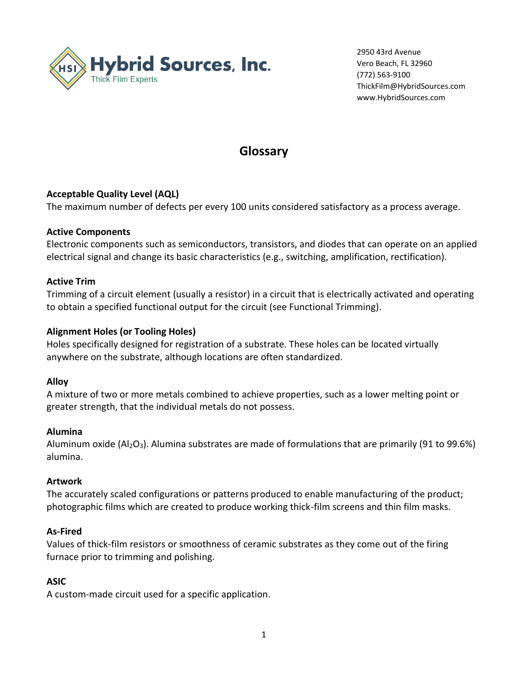

2950 43rd Avenue Vero Beach, FL 32960 (772) 563-9100 ThickFilm@HybridSources.com www.HybridSources.com

# **Glossary**

## **Acceptable Quality Level (AQL)**

The maximum number of defects per every 100 units considered satisfactory as a process average.

## **Active Components**

Electronic components such as semiconductors, transistors, and diodes that can operate on an applied electrical signal and change its basic characteristics (e.g., switching, amplification, rectification).

## **Active Trim**

Trimming of a circuit element (usually a resistor) in a circuit that is electrically activated and operating to obtain a specified functional output for the circuit (see Functional Trimming).

## **Alignment Holes (or Tooling Holes)**

Holes specifically designed for registration of a substrate. These holes can be located virtually anywhere on the substrate, although locations are often standardized.

### **Alloy**

A mixture of two or more metals combined to achieve properties, such as a lower melting point or greater strength, that the individual metals do not possess.

### **Alumina**

Aluminum oxide ( $A_1Q_3$ ). Alumina substrates are made of formulations that are primarily (91 to 99.6%) alumina.

## **Artwork**

The accurately scaled configurations or patterns produced to enable manufacturing of the product; photographic films which are created to produce working thick-film screens and thin film masks.

## **As-Fired**

Values of thick-film resistors or smoothness of ceramic substrates as they come out of the firing furnace prior to trimming and polishing.

## **ASIC**

A custom-made circuit used for a specific application.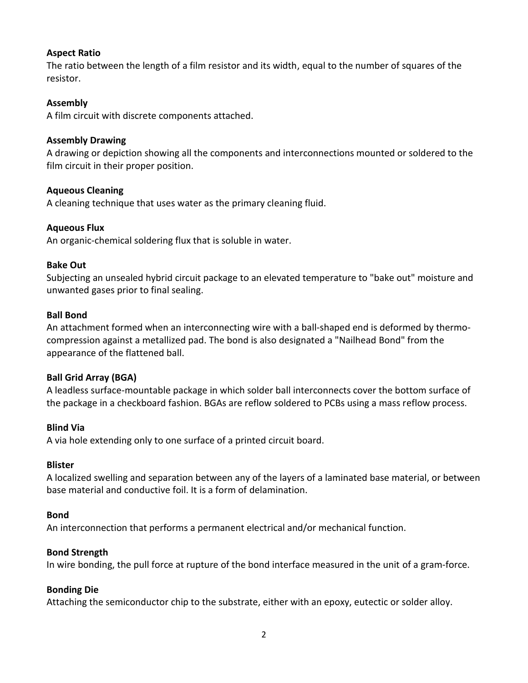## **Aspect Ratio**

The ratio between the length of a film resistor and its width, equal to the number of squares of the resistor.

### **Assembly**

A film circuit with discrete components attached.

## **Assembly Drawing**

A drawing or depiction showing all the components and interconnections mounted or soldered to the film circuit in their proper position.

## **Aqueous Cleaning**

A cleaning technique that uses water as the primary cleaning fluid.

## **Aqueous Flux**

An organic-chemical soldering flux that is soluble in water.

### **Bake Out**

Subjecting an unsealed hybrid circuit package to an elevated temperature to "bake out" moisture and unwanted gases prior to final sealing.

## **Ball Bond**

An attachment formed when an interconnecting wire with a ball-shaped end is deformed by thermocompression against a metallized pad. The bond is also designated a "Nailhead Bond" from the appearance of the flattened ball.

## **Ball Grid Array (BGA)**

A leadless surface-mountable package in which solder ball interconnects cover the bottom surface of the package in a checkboard fashion. BGAs are reflow soldered to PCBs using a mass reflow process.

### **Blind Via**

A via hole extending only to one surface of a printed circuit board.

### **Blister**

A localized swelling and separation between any of the layers of a laminated base material, or between base material and conductive foil. It is a form of delamination.

### **Bond**

An interconnection that performs a permanent electrical and/or mechanical function.

### **Bond Strength**

In wire bonding, the pull force at rupture of the bond interface measured in the unit of a gram-force.

### **Bonding Die**

Attaching the semiconductor chip to the substrate, either with an epoxy, eutectic or solder alloy.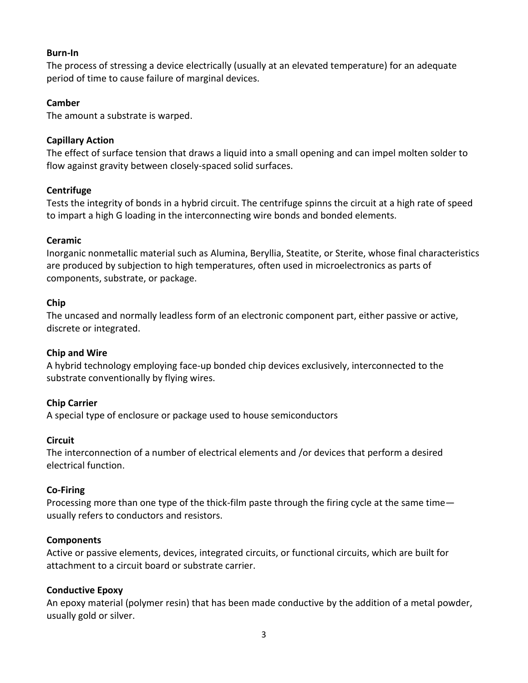### **Burn-In**

The process of stressing a device electrically (usually at an elevated temperature) for an adequate period of time to cause failure of marginal devices.

## **Camber**

The amount a substrate is warped.

## **Capillary Action**

The effect of surface tension that draws a liquid into a small opening and can impel molten solder to flow against gravity between closely-spaced solid surfaces.

## **Centrifuge**

Tests the integrity of bonds in a hybrid circuit. The centrifuge spinns the circuit at a high rate of speed to impart a high G loading in the interconnecting wire bonds and bonded elements.

## **Ceramic**

Inorganic nonmetallic material such as Alumina, Beryllia, Steatite, or Sterite, whose final characteristics are produced by subjection to high temperatures, often used in microelectronics as parts of components, substrate, or package.

### **Chip**

The uncased and normally leadless form of an electronic component part, either passive or active, discrete or integrated.

### **Chip and Wire**

A hybrid technology employing face-up bonded chip devices exclusively, interconnected to the substrate conventionally by flying wires.

## **Chip Carrier**

A special type of enclosure or package used to house semiconductors

### **Circuit**

The interconnection of a number of electrical elements and /or devices that perform a desired electrical function.

### **Co-Firing**

Processing more than one type of the thick-film paste through the firing cycle at the same time usually refers to conductors and resistors.

### **Components**

Active or passive elements, devices, integrated circuits, or functional circuits, which are built for attachment to a circuit board or substrate carrier.

### **Conductive Epoxy**

An epoxy material (polymer resin) that has been made conductive by the addition of a metal powder, usually gold or silver.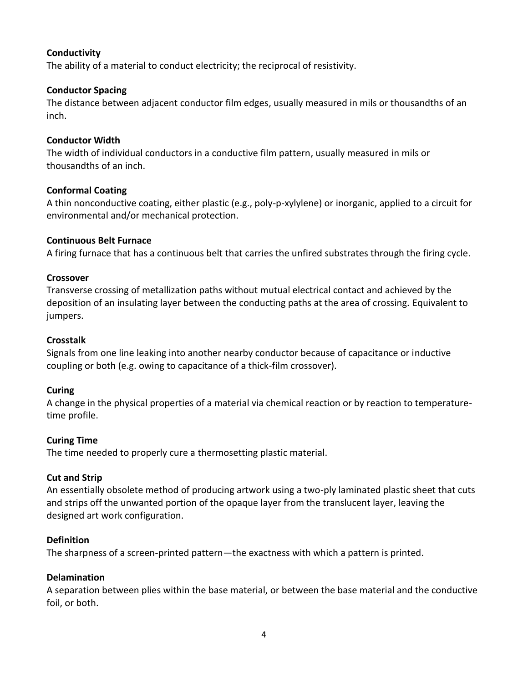## **Conductivity**

The ability of a material to conduct electricity; the reciprocal of resistivity.

## **Conductor Spacing**

The distance between adjacent conductor film edges, usually measured in mils or thousandths of an inch.

## **Conductor Width**

The width of individual conductors in a conductive film pattern, usually measured in mils or thousandths of an inch.

### **Conformal Coating**

A thin nonconductive coating, either plastic (e.g., poly-p-xylylene) or inorganic, applied to a circuit for environmental and/or mechanical protection.

## **Continuous Belt Furnace**

A firing furnace that has a continuous belt that carries the unfired substrates through the firing cycle.

### **Crossover**

Transverse crossing of metallization paths without mutual electrical contact and achieved by the deposition of an insulating layer between the conducting paths at the area of crossing. Equivalent to jumpers.

## **Crosstalk**

Signals from one line leaking into another nearby conductor because of capacitance or inductive coupling or both (e.g. owing to capacitance of a thick-film crossover).

### **Curing**

A change in the physical properties of a material via chemical reaction or by reaction to temperaturetime profile.

### **Curing Time**

The time needed to properly cure a thermosetting plastic material.

### **Cut and Strip**

An essentially obsolete method of producing artwork using a two-ply laminated plastic sheet that cuts and strips off the unwanted portion of the opaque layer from the translucent layer, leaving the designed art work configuration.

### **Definition**

The sharpness of a screen-printed pattern—the exactness with which a pattern is printed.

### **Delamination**

A separation between plies within the base material, or between the base material and the conductive foil, or both.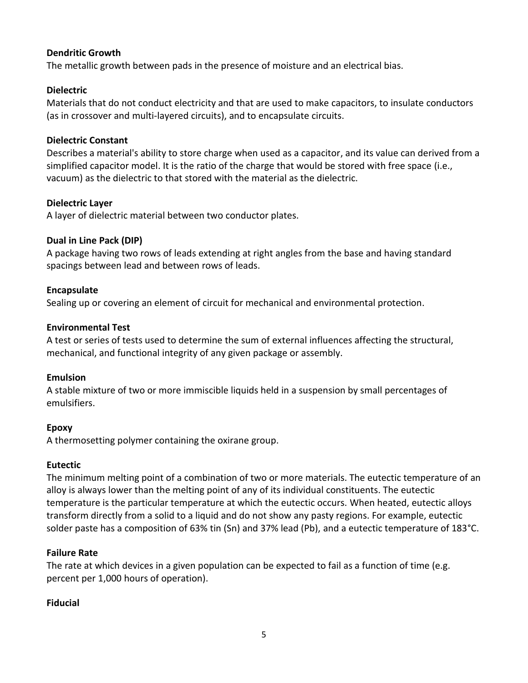## **Dendritic Growth**

The metallic growth between pads in the presence of moisture and an electrical bias.

## **Dielectric**

Materials that do not conduct electricity and that are used to make capacitors, to insulate conductors (as in crossover and multi-layered circuits), and to encapsulate circuits.

## **Dielectric Constant**

Describes a material's ability to store charge when used as a capacitor, and its value can derived from a simplified capacitor model. It is the ratio of the charge that would be stored with free space (i.e., vacuum) as the dielectric to that stored with the material as the dielectric.

## **Dielectric Layer**

A layer of dielectric material between two conductor plates.

## **Dual in Line Pack (DIP)**

A package having two rows of leads extending at right angles from the base and having standard spacings between lead and between rows of leads.

## **Encapsulate**

Sealing up or covering an element of circuit for mechanical and environmental protection.

## **Environmental Test**

A test or series of tests used to determine the sum of external influences affecting the structural, mechanical, and functional integrity of any given package or assembly.

### **Emulsion**

A stable mixture of two or more immiscible liquids held in a suspension by small percentages of emulsifiers.

### **Epoxy**

A thermosetting polymer containing the oxirane group.

### **Eutectic**

The minimum melting point of a combination of two or more materials. The eutectic temperature of an alloy is always lower than the melting point of any of its individual constituents. The eutectic temperature is the particular temperature at which the eutectic occurs. When heated, eutectic alloys transform directly from a solid to a liquid and do not show any pasty regions. For example, eutectic solder paste has a composition of 63% tin (Sn) and 37% lead (Pb), and a eutectic temperature of 183°C.

## **Failure Rate**

The rate at which devices in a given population can be expected to fail as a function of time (e.g. percent per 1,000 hours of operation).

## **Fiducial**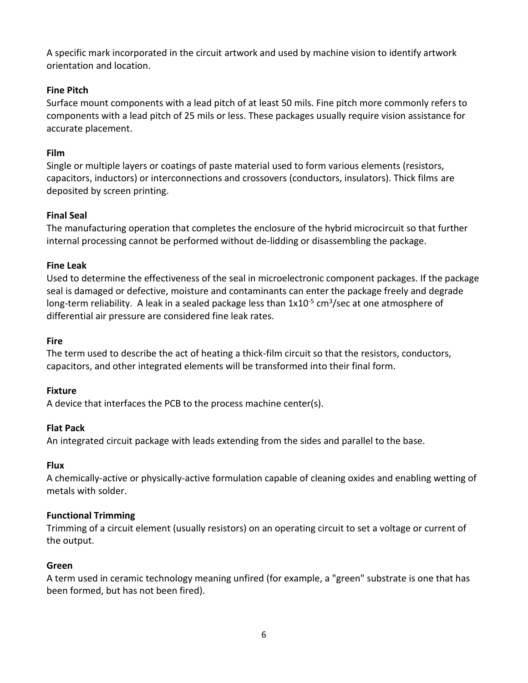A specific mark incorporated in the circuit artwork and used by machine vision to identify artwork orientation and location.

## **Fine Pitch**

Surface mount components with a lead pitch of at least 50 mils. Fine pitch more commonly refers to components with a lead pitch of 25 mils or less. These packages usually require vision assistance for accurate placement.

## **Film**

Single or multiple layers or coatings of paste material used to form various elements (resistors, capacitors, inductors) or interconnections and crossovers (conductors, insulators). Thick films are deposited by screen printing.

## **Final Seal**

The manufacturing operation that completes the enclosure of the hybrid microcircuit so that further internal processing cannot be performed without de-lidding or disassembling the package.

## **Fine Leak**

Used to determine the effectiveness of the seal in microelectronic component packages. If the package seal is damaged or defective, moisture and contaminants can enter the package freely and degrade long-term reliability. A leak in a sealed package less than 1x10<sup>-5</sup> cm<sup>3</sup>/sec at one atmosphere of differential air pressure are considered fine leak rates.

## **Fire**

The term used to describe the act of heating a thick-film circuit so that the resistors, conductors, capacitors, and other integrated elements will be transformed into their final form.

## **Fixture**

A device that interfaces the PCB to the process machine center(s).

## **Flat Pack**

An integrated circuit package with leads extending from the sides and parallel to the base.

## **Flux**

A chemically-active or physically-active formulation capable of cleaning oxides and enabling wetting of metals with solder.

## **Functional Trimming**

Trimming of a circuit element (usually resistors) on an operating circuit to set a voltage or current of the output.

## **Green**

A term used in ceramic technology meaning unfired (for example, a "green" substrate is one that has been formed, but has not been fired).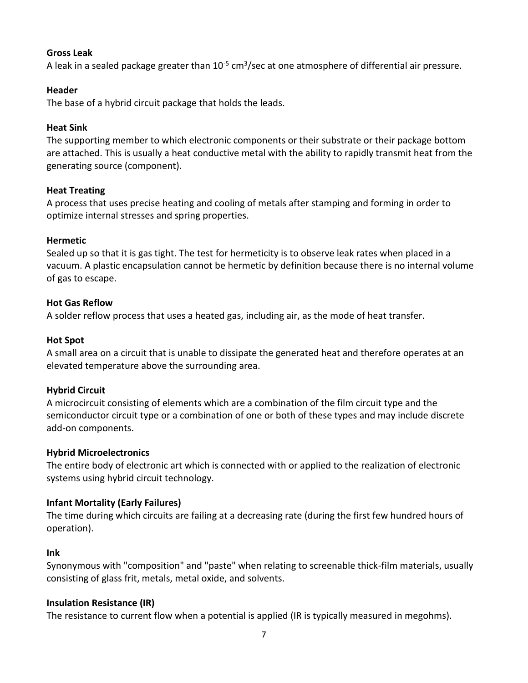## **Gross Leak**

A leak in a sealed package greater than  $10^{-5}$  cm<sup>3</sup>/sec at one atmosphere of differential air pressure.

## **Header**

The base of a hybrid circuit package that holds the leads.

## **Heat Sink**

The supporting member to which electronic components or their substrate or their package bottom are attached. This is usually a heat conductive metal with the ability to rapidly transmit heat from the generating source (component).

## **Heat Treating**

A process that uses precise heating and cooling of metals after stamping and forming in order to optimize internal stresses and spring properties.

## **Hermetic**

Sealed up so that it is gas tight. The test for hermeticity is to observe leak rates when placed in a vacuum. A plastic encapsulation cannot be hermetic by definition because there is no internal volume of gas to escape.

## **Hot Gas Reflow**

A solder reflow process that uses a heated gas, including air, as the mode of heat transfer.

## **Hot Spot**

A small area on a circuit that is unable to dissipate the generated heat and therefore operates at an elevated temperature above the surrounding area.

### **Hybrid Circuit**

A microcircuit consisting of elements which are a combination of the film circuit type and the semiconductor circuit type or a combination of one or both of these types and may include discrete add-on components.

### **Hybrid Microelectronics**

The entire body of electronic art which is connected with or applied to the realization of electronic systems using hybrid circuit technology.

## **Infant Mortality (Early Failures)**

The time during which circuits are failing at a decreasing rate (during the first few hundred hours of operation).

### **Ink**

Synonymous with "composition" and "paste" when relating to screenable thick-film materials, usually consisting of glass frit, metals, metal oxide, and solvents.

## **Insulation Resistance (IR)**

The resistance to current flow when a potential is applied (IR is typically measured in megohms).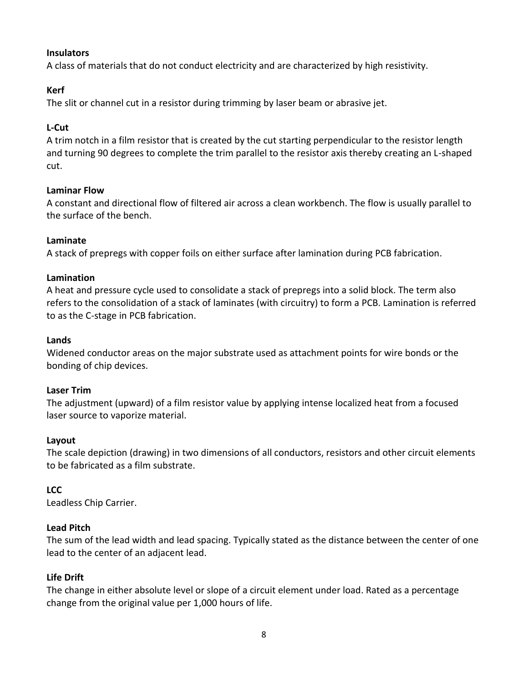## **Insulators**

A class of materials that do not conduct electricity and are characterized by high resistivity.

## **Kerf**

The slit or channel cut in a resistor during trimming by laser beam or abrasive jet.

## **L-Cut**

A trim notch in a film resistor that is created by the cut starting perpendicular to the resistor length and turning 90 degrees to complete the trim parallel to the resistor axis thereby creating an L-shaped cut.

## **Laminar Flow**

A constant and directional flow of filtered air across a clean workbench. The flow is usually parallel to the surface of the bench.

## **Laminate**

A stack of prepregs with copper foils on either surface after lamination during PCB fabrication.

### **Lamination**

A heat and pressure cycle used to consolidate a stack of prepregs into a solid block. The term also refers to the consolidation of a stack of laminates (with circuitry) to form a PCB. Lamination is referred to as the C-stage in PCB fabrication.

## **Lands**

Widened conductor areas on the major substrate used as attachment points for wire bonds or the bonding of chip devices.

### **Laser Trim**

The adjustment (upward) of a film resistor value by applying intense localized heat from a focused laser source to vaporize material.

### **Layout**

The scale depiction (drawing) in two dimensions of all conductors, resistors and other circuit elements to be fabricated as a film substrate.

### **LCC**

Leadless Chip Carrier.

### **Lead Pitch**

The sum of the lead width and lead spacing. Typically stated as the distance between the center of one lead to the center of an adjacent lead.

### **Life Drift**

The change in either absolute level or slope of a circuit element under load. Rated as a percentage change from the original value per 1,000 hours of life.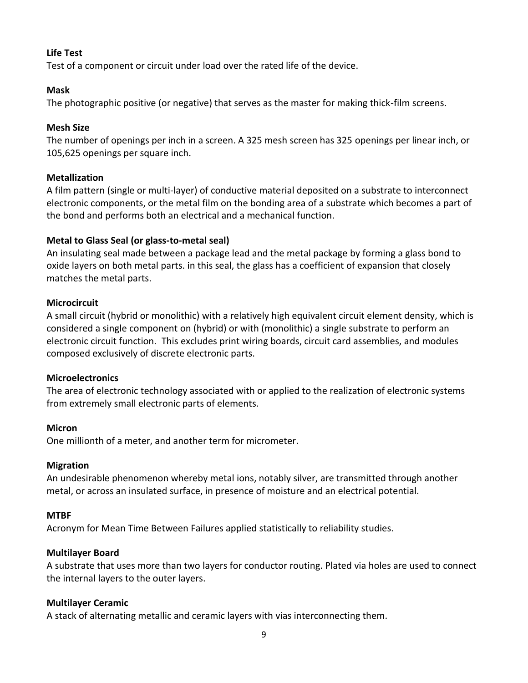## **Life Test**

Test of a component or circuit under load over the rated life of the device.

### **Mask**

The photographic positive (or negative) that serves as the master for making thick-film screens.

## **Mesh Size**

The number of openings per inch in a screen. A 325 mesh screen has 325 openings per linear inch, or 105,625 openings per square inch.

## **Metallization**

A film pattern (single or multi-layer) of conductive material deposited on a substrate to interconnect electronic components, or the metal film on the bonding area of a substrate which becomes a part of the bond and performs both an electrical and a mechanical function.

## **Metal to Glass Seal (or glass-to-metal seal)**

An insulating seal made between a package lead and the metal package by forming a glass bond to oxide layers on both metal parts. in this seal, the glass has a coefficient of expansion that closely matches the metal parts.

## **Microcircuit**

A small circuit (hybrid or monolithic) with a relatively high equivalent circuit element density, which is considered a single component on (hybrid) or with (monolithic) a single substrate to perform an electronic circuit function. This excludes print wiring boards, circuit card assemblies, and modules composed exclusively of discrete electronic parts.

### **Microelectronics**

The area of electronic technology associated with or applied to the realization of electronic systems from extremely small electronic parts of elements.

### **Micron**

One millionth of a meter, and another term for micrometer.

### **Migration**

An undesirable phenomenon whereby metal ions, notably silver, are transmitted through another metal, or across an insulated surface, in presence of moisture and an electrical potential.

### **MTBF**

Acronym for Mean Time Between Failures applied statistically to reliability studies.

## **Multilayer Board**

A substrate that uses more than two layers for conductor routing. Plated via holes are used to connect the internal layers to the outer layers.

## **Multilayer Ceramic**

A stack of alternating metallic and ceramic layers with vias interconnecting them.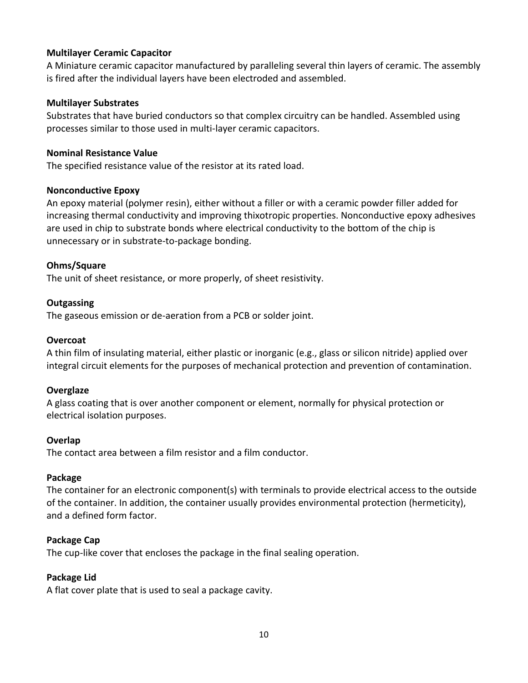## **Multilayer Ceramic Capacitor**

A Miniature ceramic capacitor manufactured by paralleling several thin layers of ceramic. The assembly is fired after the individual layers have been electroded and assembled.

#### **Multilayer Substrates**

Substrates that have buried conductors so that complex circuitry can be handled. Assembled using processes similar to those used in multi-layer ceramic capacitors.

#### **Nominal Resistance Value**

The specified resistance value of the resistor at its rated load.

#### **Nonconductive Epoxy**

An epoxy material (polymer resin), either without a filler or with a ceramic powder filler added for increasing thermal conductivity and improving thixotropic properties. Nonconductive epoxy adhesives are used in chip to substrate bonds where electrical conductivity to the bottom of the chip is unnecessary or in substrate-to-package bonding.

### **Ohms/Square**

The unit of sheet resistance, or more properly, of sheet resistivity.

#### **Outgassing**

The gaseous emission or de-aeration from a PCB or solder joint.

#### **Overcoat**

A thin film of insulating material, either plastic or inorganic (e.g., glass or silicon nitride) applied over integral circuit elements for the purposes of mechanical protection and prevention of contamination.

#### **Overglaze**

A glass coating that is over another component or element, normally for physical protection or electrical isolation purposes.

#### **Overlap**

The contact area between a film resistor and a film conductor.

#### **Package**

The container for an electronic component(s) with terminals to provide electrical access to the outside of the container. In addition, the container usually provides environmental protection (hermeticity), and a defined form factor.

#### **Package Cap**

The cup-like cover that encloses the package in the final sealing operation.

#### **Package Lid**

A flat cover plate that is used to seal a package cavity.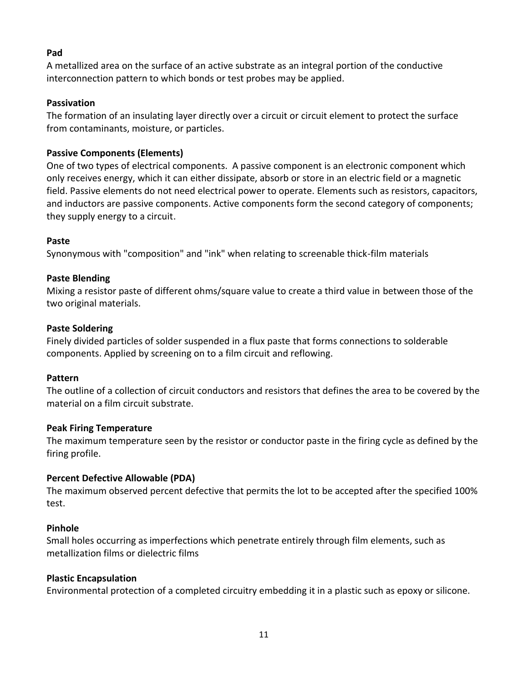## **Pad**

A metallized area on the surface of an active substrate as an integral portion of the conductive interconnection pattern to which bonds or test probes may be applied.

### **Passivation**

The formation of an insulating layer directly over a circuit or circuit element to protect the surface from contaminants, moisture, or particles.

## **Passive Components (Elements)**

One of two types of electrical components. A passive component is an electronic component which only receives energy, which it can either dissipate, absorb or store in an electric field or a magnetic field. Passive elements do not need electrical power to operate. Elements such as resistors, capacitors, and inductors are passive components. Active components form the second category of components; they supply energy to a circuit.

## **Paste**

Synonymous with "composition" and "ink" when relating to screenable thick-film materials

## **Paste Blending**

Mixing a resistor paste of different ohms/square value to create a third value in between those of the two original materials.

### **Paste Soldering**

Finely divided particles of solder suspended in a flux paste that forms connections to solderable components. Applied by screening on to a film circuit and reflowing.

### **Pattern**

The outline of a collection of circuit conductors and resistors that defines the area to be covered by the material on a film circuit substrate.

### **Peak Firing Temperature**

The maximum temperature seen by the resistor or conductor paste in the firing cycle as defined by the firing profile.

### **Percent Defective Allowable (PDA)**

The maximum observed percent defective that permits the lot to be accepted after the specified 100% test.

### **Pinhole**

Small holes occurring as imperfections which penetrate entirely through film elements, such as metallization films or dielectric films

## **Plastic Encapsulation**

Environmental protection of a completed circuitry embedding it in a plastic such as epoxy or silicone.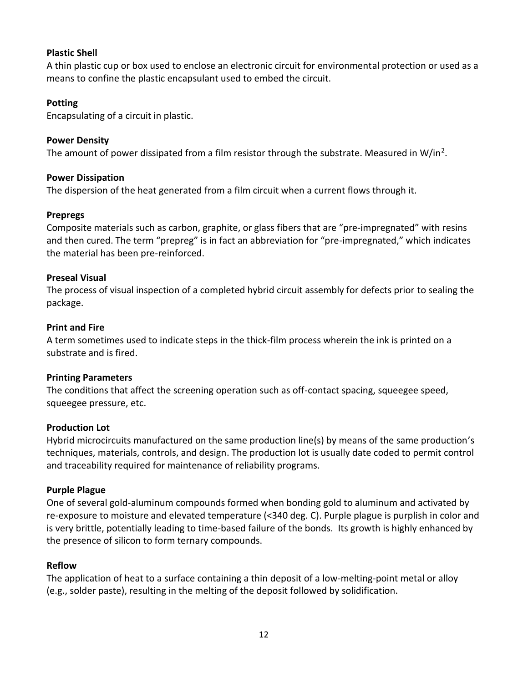## **Plastic Shell**

A thin plastic cup or box used to enclose an electronic circuit for environmental protection or used as a means to confine the plastic encapsulant used to embed the circuit.

## **Potting**

Encapsulating of a circuit in plastic.

## **Power Density**

The amount of power dissipated from a film resistor through the substrate. Measured in W/in<sup>2</sup>.

### **Power Dissipation**

The dispersion of the heat generated from a film circuit when a current flows through it.

### **Prepregs**

Composite materials such as carbon, graphite, or glass fibers that are "pre-impregnated" with resins and then cured. The term "prepreg" is in fact an abbreviation for "pre-impregnated," which indicates the material has been pre-reinforced.

## **Preseal Visual**

The process of visual inspection of a completed hybrid circuit assembly for defects prior to sealing the package.

### **Print and Fire**

A term sometimes used to indicate steps in the thick-film process wherein the ink is printed on a substrate and is fired.

### **Printing Parameters**

The conditions that affect the screening operation such as off-contact spacing, squeegee speed, squeegee pressure, etc.

### **Production Lot**

Hybrid microcircuits manufactured on the same production line(s) by means of the same production's techniques, materials, controls, and design. The production lot is usually date coded to permit control and traceability required for maintenance of reliability programs.

### **Purple Plague**

One of several gold-aluminum compounds formed when bonding gold to aluminum and activated by re-exposure to moisture and elevated temperature (<340 deg. C). Purple plague is purplish in color and is very brittle, potentially leading to time-based failure of the bonds. Its growth is highly enhanced by the presence of silicon to form ternary compounds.

### **Reflow**

The application of heat to a surface containing a thin deposit of a low-melting-point metal or alloy (e.g., solder paste), resulting in the melting of the deposit followed by solidification.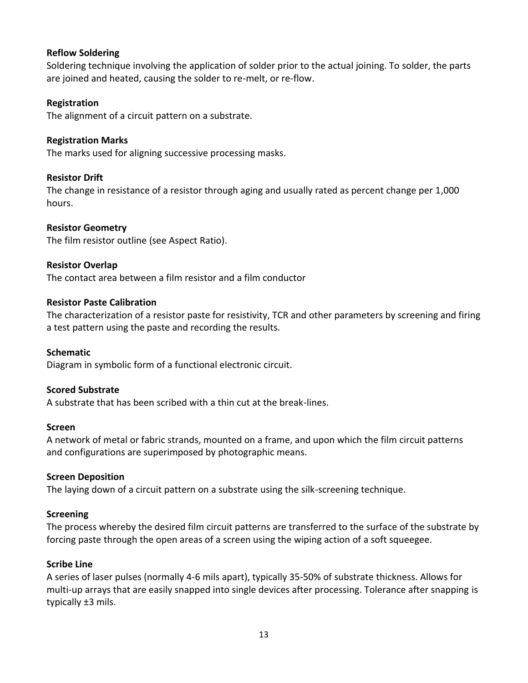## **Reflow Soldering**

Soldering technique involving the application of solder prior to the actual joining. To solder, the parts are joined and heated, causing the solder to re-melt, or re-flow.

## **Registration**

The alignment of a circuit pattern on a substrate.

## **Registration Marks**

The marks used for aligning successive processing masks.

### **Resistor Drift**

The change in resistance of a resistor through aging and usually rated as percent change per 1,000 hours.

### **Resistor Geometry**

The film resistor outline (see Aspect Ratio).

### **Resistor Overlap**

The contact area between a film resistor and a film conductor

#### **Resistor Paste Calibration**

The characterization of a resistor paste for resistivity, TCR and other parameters by screening and firing a test pattern using the paste and recording the results.

### **Schematic**

Diagram in symbolic form of a functional electronic circuit.

### **Scored Substrate**

A substrate that has been scribed with a thin cut at the break-lines.

#### **Screen**

A network of metal or fabric strands, mounted on a frame, and upon which the film circuit patterns and configurations are superimposed by photographic means.

### **Screen Deposition**

The laying down of a circuit pattern on a substrate using the silk-screening technique.

#### **Screening**

The process whereby the desired film circuit patterns are transferred to the surface of the substrate by forcing paste through the open areas of a screen using the wiping action of a soft squeegee.

### **Scribe Line**

A series of laser pulses (normally 4-6 mils apart), typically 35-50% of substrate thickness. Allows for multi-up arrays that are easily snapped into single devices after processing. Tolerance after snapping is typically ±3 mils.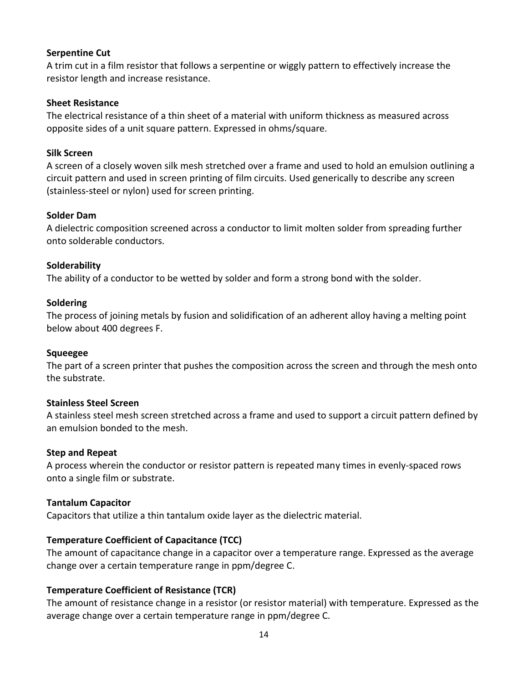### **Serpentine Cut**

A trim cut in a film resistor that follows a serpentine or wiggly pattern to effectively increase the resistor length and increase resistance.

### **Sheet Resistance**

The electrical resistance of a thin sheet of a material with uniform thickness as measured across opposite sides of a unit square pattern. Expressed in ohms/square.

## **Silk Screen**

A screen of a closely woven silk mesh stretched over a frame and used to hold an emulsion outlining a circuit pattern and used in screen printing of film circuits. Used generically to describe any screen (stainless-steel or nylon) used for screen printing.

## **Solder Dam**

A dielectric composition screened across a conductor to limit molten solder from spreading further onto solderable conductors.

## **Solderability**

The ability of a conductor to be wetted by solder and form a strong bond with the solder.

### **Soldering**

The process of joining metals by fusion and solidification of an adherent alloy having a melting point below about 400 degrees F.

### **Squeegee**

The part of a screen printer that pushes the composition across the screen and through the mesh onto the substrate.

### **Stainless Steel Screen**

A stainless steel mesh screen stretched across a frame and used to support a circuit pattern defined by an emulsion bonded to the mesh.

### **Step and Repeat**

A process wherein the conductor or resistor pattern is repeated many times in evenly-spaced rows onto a single film or substrate.

### **Tantalum Capacitor**

Capacitors that utilize a thin tantalum oxide layer as the dielectric material.

## **Temperature Coefficient of Capacitance (TCC)**

The amount of capacitance change in a capacitor over a temperature range. Expressed as the average change over a certain temperature range in ppm/degree C.

## **Temperature Coefficient of Resistance (TCR)**

The amount of resistance change in a resistor (or resistor material) with temperature. Expressed as the average change over a certain temperature range in ppm/degree C.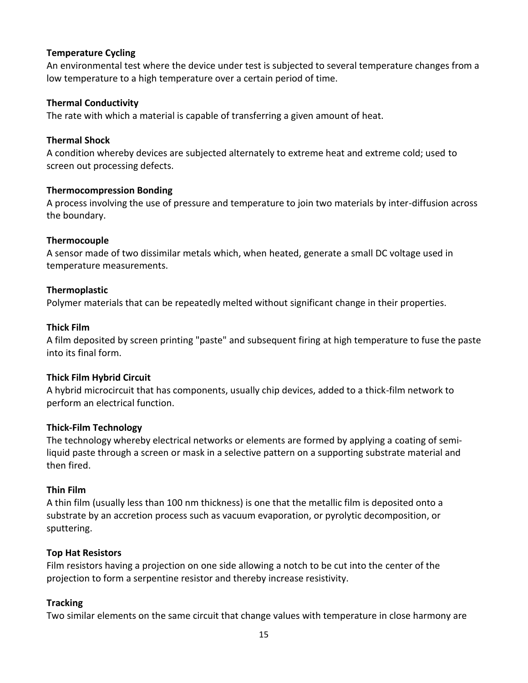## **Temperature Cycling**

An environmental test where the device under test is subjected to several temperature changes from a low temperature to a high temperature over a certain period of time.

### **Thermal Conductivity**

The rate with which a material is capable of transferring a given amount of heat.

## **Thermal Shock**

A condition whereby devices are subjected alternately to extreme heat and extreme cold; used to screen out processing defects.

## **Thermocompression Bonding**

A process involving the use of pressure and temperature to join two materials by inter-diffusion across the boundary.

## **Thermocouple**

A sensor made of two dissimilar metals which, when heated, generate a small DC voltage used in temperature measurements.

## **Thermoplastic**

Polymer materials that can be repeatedly melted without significant change in their properties.

### **Thick Film**

A film deposited by screen printing "paste" and subsequent firing at high temperature to fuse the paste into its final form.

### **Thick Film Hybrid Circuit**

A hybrid microcircuit that has components, usually chip devices, added to a thick-film network to perform an electrical function.

### **Thick-Film Technology**

The technology whereby electrical networks or elements are formed by applying a coating of semiliquid paste through a screen or mask in a selective pattern on a supporting substrate material and then fired.

### **Thin Film**

A thin film (usually less than 100 nm thickness) is one that the metallic film is deposited onto a substrate by an accretion process such as vacuum evaporation, or pyrolytic decomposition, or sputtering.

## **Top Hat Resistors**

Film resistors having a projection on one side allowing a notch to be cut into the center of the projection to form a serpentine resistor and thereby increase resistivity.

## **Tracking**

Two similar elements on the same circuit that change values with temperature in close harmony are